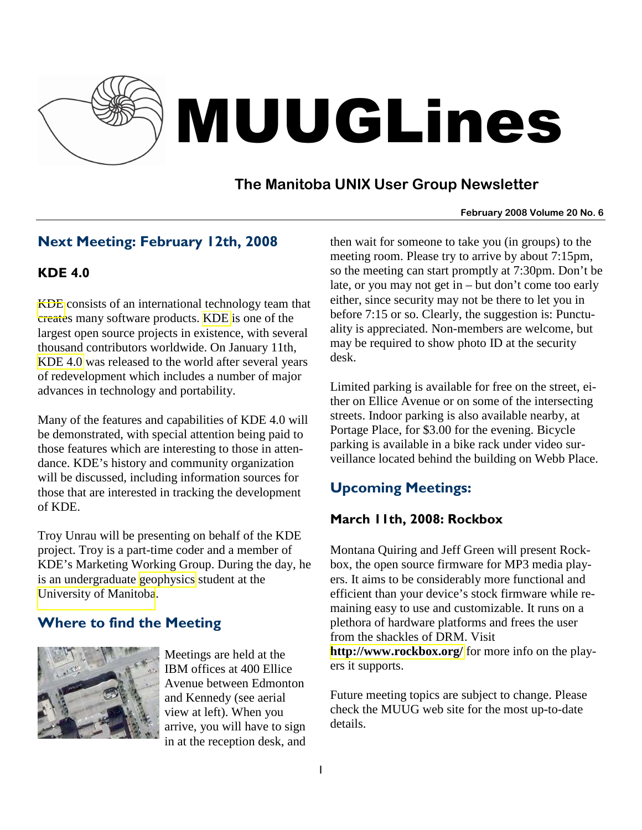

# MUUGLines

# **The Manitoba UNIX User Group Newsletter**

#### **February 2008 Volume 20 No. 6**

# Next Meeting: February 12th, 2008

### KDE 4.0

[KDE](http://www.kde.org/) consists of an international technology team that creates many software products. [KDE](http://en.wikipedia.org/wiki/KDE) is one of the largest open source projects in existence, with several thousand contributors worldwide. On January 11th, [KDE 4.0](http://www.kde.org/announcements/4.0/) was released to the world after several years of redevelopment which includes a number of major advances in technology and portability.

Many of the features and capabilities of KDE 4.0 will be demonstrated, with special attention being paid to those features which are interesting to those in attendance. KDE's history and community organization will be discussed, including information sources for those that are interested in tracking the development of KDE.

Troy Unrau will be presenting on behalf of the KDE project. Troy is a part-time coder and a member of KDE's Marketing Working Group. During the day, he is an undergraduate [geophysics](http://umanitoba.ca/faculties/science/geological_sciences/programs/geophysics.htm) student at the [University of Manitoba](http://umanitoba.ca/).

# Where to find the Meeting



Meetings are held at the IBM offices at 400 Ellice Avenue between Edmonton and Kennedy (see aerial view at left). When you arrive, you will have to sign in at the reception desk, and then wait for someone to take you (in groups) to the meeting room. Please try to arrive by about 7:15pm, so the meeting can start promptly at 7:30pm. Don't be late, or you may not get in – but don't come too early either, since security may not be there to let you in before 7:15 or so. Clearly, the suggestion is: Punctuality is appreciated. Non-members are welcome, but may be required to show photo ID at the security desk.

Limited parking is available for free on the street, either on Ellice Avenue or on some of the intersecting streets. Indoor parking is also available nearby, at Portage Place, for \$3.00 for the evening. Bicycle parking is available in a bike rack under video surveillance located behind the building on Webb Place.

# Upcoming Meetings:

## March 11th, 2008: Rockbox

Montana Quiring and Jeff Green will present Rockbox, the open source firmware for MP3 media players. It aims to be considerably more functional and efficient than your device's stock firmware while remaining easy to use and customizable. It runs on a plethora of hardware platforms and frees the user from the shackles of DRM. Visit

**<http://www.rockbox.org/>** for more info on the players it supports.

Future meeting topics are subject to change. Please check the MUUG web site for the most up-to-date details.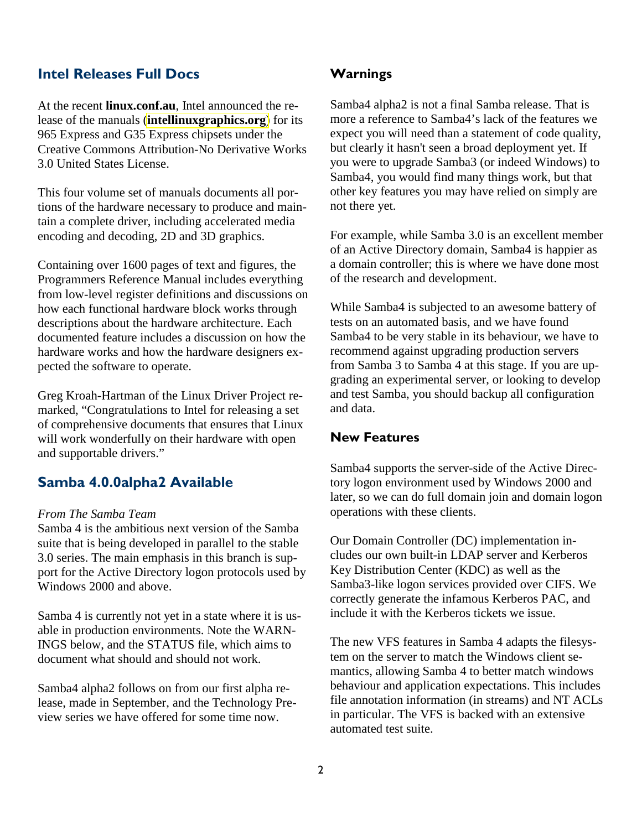#### Intel Releases Full Docs

At the recent **linux.conf.au**, Intel announced the release of the manuals (**[intellinuxgraphics.org](http://intellinuxgraphics.org/)**) for its 965 Express and G35 Express chipsets under the Creative Commons Attribution-No Derivative Works 3.0 United States License.

This four volume set of manuals documents all portions of the hardware necessary to produce and maintain a complete driver, including accelerated media encoding and decoding, 2D and 3D graphics.

Containing over 1600 pages of text and figures, the Programmers Reference Manual includes everything from low-level register definitions and discussions on how each functional hardware block works through descriptions about the hardware architecture. Each documented feature includes a discussion on how the hardware works and how the hardware designers expected the software to operate.

Greg Kroah-Hartman of the Linux Driver Project remarked, "Congratulations to Intel for releasing a set of comprehensive documents that ensures that Linux will work wonderfully on their hardware with open and supportable drivers."

### Samba 4.0.0alpha2 Available

#### *From The Samba Team*

Samba 4 is the ambitious next version of the Samba suite that is being developed in parallel to the stable 3.0 series. The main emphasis in this branch is support for the Active Directory logon protocols used by Windows 2000 and above.

Samba 4 is currently not yet in a state where it is usable in production environments. Note the WARN-INGS below, and the STATUS file, which aims to document what should and should not work.

Samba4 alpha2 follows on from our first alpha release, made in September, and the Technology Preview series we have offered for some time now.

#### Warnings

Samba4 alpha2 is not a final Samba release. That is more a reference to Samba4's lack of the features we expect you will need than a statement of code quality, but clearly it hasn't seen a broad deployment yet. If you were to upgrade Samba3 (or indeed Windows) to Samba4, you would find many things work, but that other key features you may have relied on simply are not there yet.

For example, while Samba 3.0 is an excellent member of an Active Directory domain, Samba4 is happier as a domain controller; this is where we have done most of the research and development.

While Samba4 is subjected to an awesome battery of tests on an automated basis, and we have found Samba4 to be very stable in its behaviour, we have to recommend against upgrading production servers from Samba 3 to Samba 4 at this stage. If you are upgrading an experimental server, or looking to develop and test Samba, you should backup all configuration and data.

#### New Features

Samba4 supports the server-side of the Active Directory logon environment used by Windows 2000 and later, so we can do full domain join and domain logon operations with these clients.

Our Domain Controller (DC) implementation includes our own built-in LDAP server and Kerberos Key Distribution Center (KDC) as well as the Samba3-like logon services provided over CIFS. We correctly generate the infamous Kerberos PAC, and include it with the Kerberos tickets we issue.

The new VFS features in Samba 4 adapts the filesystem on the server to match the Windows client semantics, allowing Samba 4 to better match windows behaviour and application expectations. This includes file annotation information (in streams) and NT ACLs in particular. The VFS is backed with an extensive automated test suite.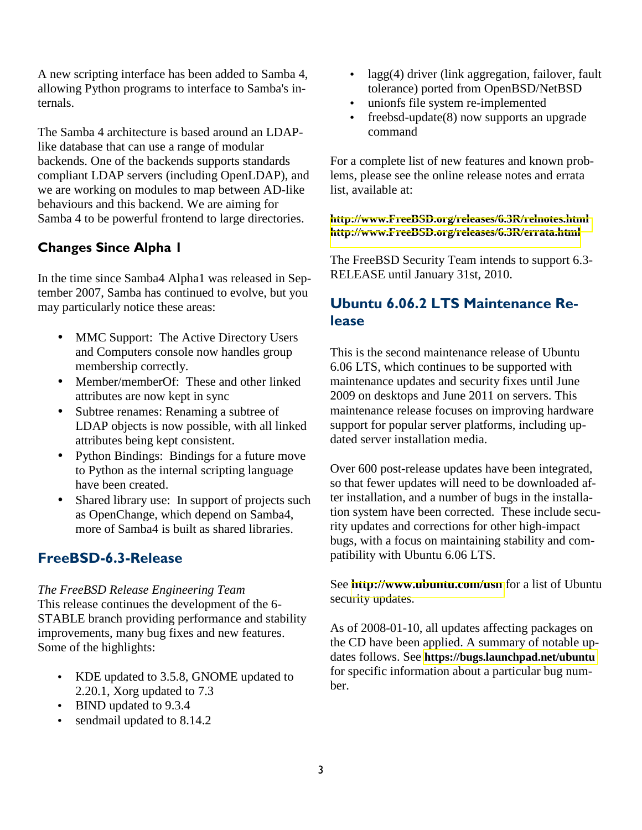A new scripting interface has been added to Samba 4, allowing Python programs to interface to Samba's internals.

The Samba 4 architecture is based around an LDAPlike database that can use a range of modular backends. One of the backends supports standards compliant LDAP servers (including OpenLDAP), and we are working on modules to map between AD-like behaviours and this backend. We are aiming for Samba 4 to be powerful frontend to large directories.

### Changes Since Alpha 1

In the time since Samba4 Alpha1 was released in September 2007, Samba has continued to evolve, but you may particularly notice these areas:

- MMC Support: The Active Directory Users and Computers console now handles group membership correctly.
- Member/memberOf: These and other linked attributes are now kept in sync
- Subtree renames: Renaming a subtree of LDAP objects is now possible, with all linked attributes being kept consistent.
- Python Bindings: Bindings for a future move to Python as the internal scripting language have been created.
- Shared library use: In support of projects such as OpenChange, which depend on Samba4, more of Samba4 is built as shared libraries.

# FreeBSD-6.3-Release

#### *The FreeBSD Release Engineering Team*

This release continues the development of the 6- STABLE branch providing performance and stability improvements, many bug fixes and new features. Some of the highlights:

- KDE updated to 3.5.8, GNOME updated to 2.20.1, Xorg updated to 7.3
- BIND updated to 9.3.4
- sendmail updated to 8.14.2
- lagg(4) driver (link aggregation, failover, fault tolerance) ported from OpenBSD/NetBSD
- unionfs file system re-implemented
- freebsd-update(8) now supports an upgrade command

For a complete list of new features and known problems, please see the online release notes and errata list, available at:

#### **[http://www.FreeBSD.org/releases/6.3R/relnotes.html](http://www.freebsd.org/releases/6.3R/relnotes.html)  [http://www.FreeBSD.org/releases/6.3R/errata.html](http://www.freebsd.org/releases/6.3R/errata.html)**

The FreeBSD Security Team intends to support 6.3- RELEASE until January 31st, 2010.

## Ubuntu 6.06.2 LTS Maintenance Release

This is the second maintenance release of Ubuntu 6.06 LTS, which continues to be supported with maintenance updates and security fixes until June 2009 on desktops and June 2011 on servers. This maintenance release focuses on improving hardware support for popular server platforms, including updated server installation media.

Over 600 post-release updates have been integrated, so that fewer updates will need to be downloaded after installation, and a number of bugs in the installation system have been corrected. These include security updates and corrections for other high-impact bugs, with a focus on maintaining stability and compatibility with Ubuntu 6.06 LTS.

See **<http://www.ubuntu.com/usn>** for a list of Ubuntu security updates.

As of 2008-01-10, all updates affecting packages on the CD have been applied. A summary of notable updates follows. See **<https://bugs.launchpad.net/ubuntu>** for specific information about a particular bug number.